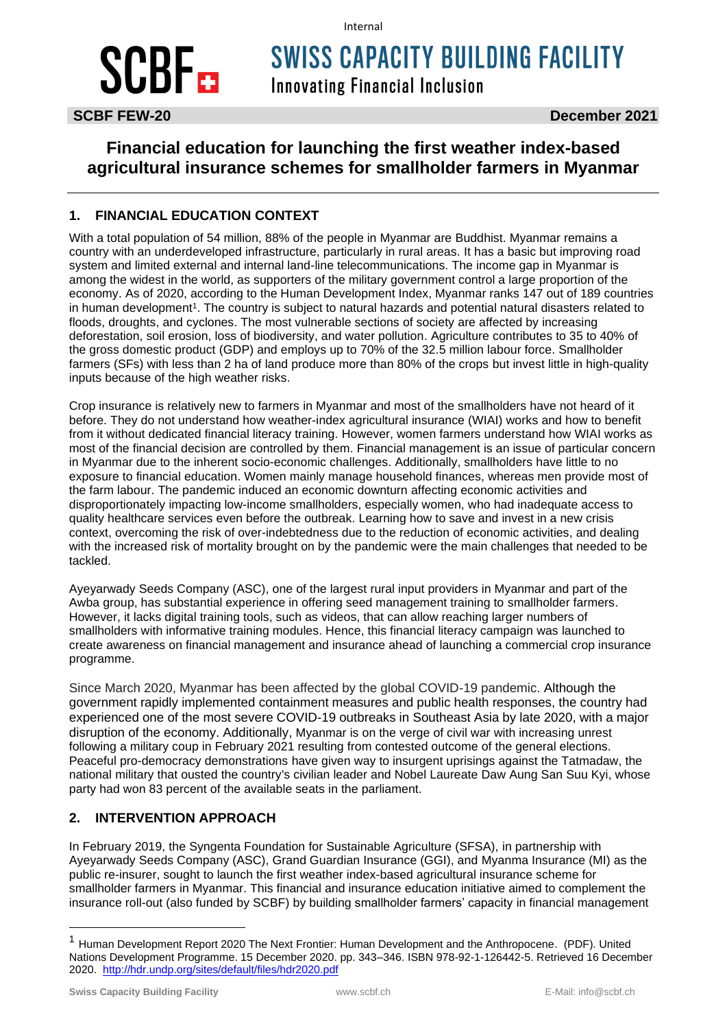#### Internal

# **SCBF**

**SWISS CAPACITY BUILDING FACILITY** 

**Innovating Financial Inclusion** 

## **Financial education for launching the first weather index-based agricultural insurance schemes for smallholder farmers in Myanmar**

### **1. FINANCIAL EDUCATION CONTEXT**

With a total population of 54 million, 88% of the people in Myanmar are Buddhist. Myanmar remains a country with an underdeveloped infrastructure, particularly in rural areas. It has a basic but improving road system and limited external and internal land-line telecommunications. The income gap in Myanmar is among the widest in the world, as supporters of the military government control a large proportion of the economy. As of 2020, according to the Human Development Index, Myanmar ranks 147 out of 189 countries in human development<sup>1</sup>. The country is subject to natural hazards and potential natural disasters related to floods, droughts, and cyclones. The most vulnerable sections of society are affected by increasing deforestation, soil erosion, loss of biodiversity, and water pollution. Agriculture contributes to 35 to 40% of the gross domestic product (GDP) and employs up to 70% of the 32.5 million labour force. Smallholder farmers (SFs) with less than 2 ha of land produce more than 80% of the crops but invest little in high-quality inputs because of the high weather risks.

Crop insurance is relatively new to farmers in Myanmar and most of the smallholders have not heard of it before. They do not understand how weather-index agricultural insurance (WIAI) works and how to benefit from it without dedicated financial literacy training. However, women farmers understand how WIAI works as most of the financial decision are controlled by them. Financial management is an issue of particular concern in Myanmar due to the inherent socio-economic challenges. Additionally, smallholders have little to no exposure to financial education. Women mainly manage household finances, whereas men provide most of the farm labour. The pandemic induced an economic downturn affecting economic activities and disproportionately impacting low-income smallholders, especially women, who had inadequate access to quality healthcare services even before the outbreak. Learning how to save and invest in a new crisis context, overcoming the risk of over-indebtedness due to the reduction of economic activities, and dealing with the increased risk of mortality brought on by the pandemic were the main challenges that needed to be tackled.

Ayeyarwady Seeds Company (ASC), one of the largest rural input providers in Myanmar and part of the Awba group, has substantial experience in offering seed management training to smallholder farmers. However, it lacks digital training tools, such as videos, that can allow reaching larger numbers of smallholders with informative training modules. Hence, this financial literacy campaign was launched to create awareness on financial management and insurance ahead of launching a commercial crop insurance programme.

Since March 2020, Myanmar has been affected by the global COVID-19 pandemic. Although the government rapidly implemented containment measures and public health responses, the country had experienced one of the most severe COVID-19 outbreaks in Southeast Asia by late 2020, with a major disruption of the economy. Additionally, Myanmar is on the verge of civil war with increasing unrest following a military coup in February 2021 resulting from contested outcome of the general elections. Peaceful pro-democracy demonstrations have given way to insurgent uprisings against the Tatmadaw, the national military that ousted the country's civilian leader and Nobel Laureate Daw Aung San Suu Kyi, whose party had won 83 percent of the available seats in the parliament.

### **2. INTERVENTION APPROACH**

In February 2019, the Syngenta Foundation for Sustainable Agriculture (SFSA), in partnership with Ayeyarwady Seeds Company (ASC), Grand Guardian Insurance (GGI), and Myanma Insurance (MI) as the public re-insurer, sought to launch the first weather index-based agricultural insurance scheme for smallholder farmers in Myanmar. This financial and insurance education initiative aimed to complement the insurance roll-out (also funded by SCBF) by building smallholder farmers' capacity in financial management

<sup>1</sup> Human Development Report 2020 The Next Frontier: Human Development and the Anthropocene. (PDF). United Nations Development Programme. 15 December 2020. pp. 343–346. ISBN 978-92-1-126442-5. Retrieved 16 December 2020. <http://hdr.undp.org/sites/default/files/hdr2020.pdf>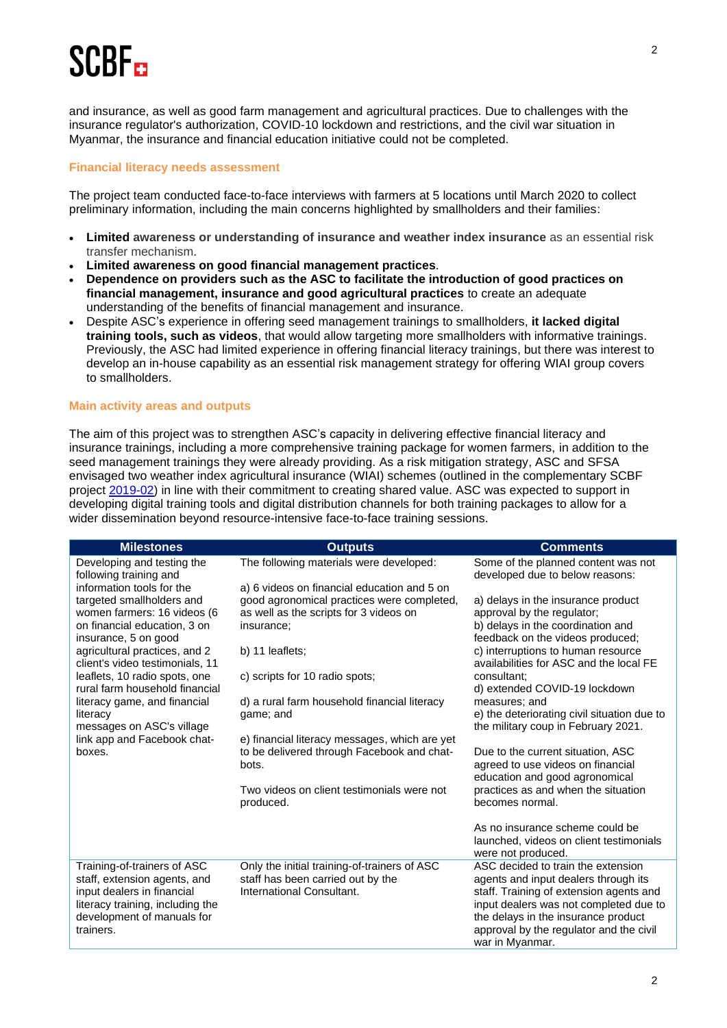# SCRE<sub>m</sub>

and insurance, as well as good farm management and agricultural practices. Due to challenges with the insurance regulator's authorization, COVID-10 lockdown and restrictions, and the civil war situation in Myanmar, the insurance and financial education initiative could not be completed.

#### **Financial literacy needs assessment**

The project team conducted face-to-face interviews with farmers at 5 locations until March 2020 to collect preliminary information, including the main concerns highlighted by smallholders and their families:

- **Limited awareness or understanding of insurance and weather index insurance** as an essential risk transfer mechanism.
- **Limited awareness on good financial management practices**.
- **Dependence on providers such as the ASC to facilitate the introduction of good practices on financial management, insurance and good agricultural practices** to create an adequate understanding of the benefits of financial management and insurance.
- Despite ASC's experience in offering seed management trainings to smallholders, **it lacked digital training tools, such as videos**, that would allow targeting more smallholders with informative trainings. Previously, the ASC had limited experience in offering financial literacy trainings, but there was interest to develop an in-house capability as an essential risk management strategy for offering WIAI group covers to smallholders.

#### **Main activity areas and outputs**

The aim of this project was to strengthen ASC's capacity in delivering effective financial literacy and insurance trainings, including a more comprehensive training package for women farmers, in addition to the seed management trainings they were already providing. As a risk mitigation strategy, ASC and SFSA envisaged two weather index agricultural insurance (WIAI) schemes (outlined in the complementary SCBF project [2019-02\)](https://scbf.ch/wp-content/uploads/2020/06/SCBF_2019-02_FactSheet_ASC-SFSA_Myanmar-1.pdf) in line with their commitment to creating shared value. ASC was expected to support in developing digital training tools and digital distribution channels for both training packages to allow for a wider dissemination beyond resource-intensive face-to-face training sessions.

| <b>Milestones</b>                                                                                                                                                                                                                                                                                                                                             | <b>Outputs</b>                                                                                                                                                                                                                                                      | <b>Comments</b>                                                                                                                                                                                                                                                                                                                                                                   |
|---------------------------------------------------------------------------------------------------------------------------------------------------------------------------------------------------------------------------------------------------------------------------------------------------------------------------------------------------------------|---------------------------------------------------------------------------------------------------------------------------------------------------------------------------------------------------------------------------------------------------------------------|-----------------------------------------------------------------------------------------------------------------------------------------------------------------------------------------------------------------------------------------------------------------------------------------------------------------------------------------------------------------------------------|
| Developing and testing the<br>following training and                                                                                                                                                                                                                                                                                                          | The following materials were developed:                                                                                                                                                                                                                             | Some of the planned content was not<br>developed due to below reasons:                                                                                                                                                                                                                                                                                                            |
| information tools for the<br>targeted smallholders and<br>women farmers: 16 videos (6<br>on financial education, 3 on<br>insurance, 5 on good<br>agricultural practices, and 2<br>client's video testimonials, 11<br>leaflets, 10 radio spots, one<br>rural farm household financial<br>literacy game, and financial<br>literacy<br>messages on ASC's village | a) 6 videos on financial education and 5 on<br>good agronomical practices were completed,<br>as well as the scripts for 3 videos on<br>insurance;<br>b) 11 leaflets;<br>c) scripts for 10 radio spots;<br>d) a rural farm household financial literacy<br>game; and | a) delays in the insurance product<br>approval by the regulator;<br>b) delays in the coordination and<br>feedback on the videos produced;<br>c) interruptions to human resource<br>availabilities for ASC and the local FE<br>consultant;<br>d) extended COVID-19 lockdown<br>measures; and<br>e) the deteriorating civil situation due to<br>the military coup in February 2021. |
| link app and Facebook chat-<br>boxes.                                                                                                                                                                                                                                                                                                                         | e) financial literacy messages, which are yet<br>to be delivered through Facebook and chat-<br>bots.<br>Two videos on client testimonials were not<br>produced.                                                                                                     | Due to the current situation, ASC<br>agreed to use videos on financial<br>education and good agronomical<br>practices as and when the situation<br>becomes normal.                                                                                                                                                                                                                |
|                                                                                                                                                                                                                                                                                                                                                               |                                                                                                                                                                                                                                                                     | As no insurance scheme could be<br>launched, videos on client testimonials<br>were not produced.                                                                                                                                                                                                                                                                                  |
| Training-of-trainers of ASC<br>staff, extension agents, and<br>input dealers in financial<br>literacy training, including the<br>development of manuals for<br>trainers.                                                                                                                                                                                      | Only the initial training-of-trainers of ASC<br>staff has been carried out by the<br>International Consultant.                                                                                                                                                      | ASC decided to train the extension<br>agents and input dealers through its<br>staff. Training of extension agents and<br>input dealers was not completed due to<br>the delays in the insurance product<br>approval by the regulator and the civil<br>war in Myanmar.                                                                                                              |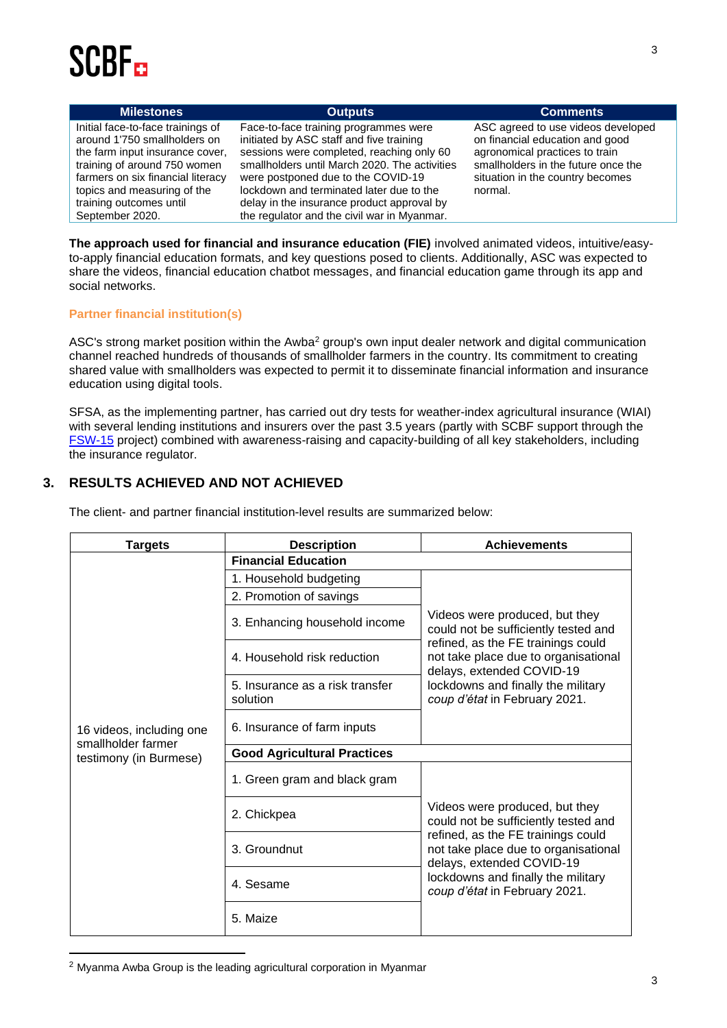# **SCRE**

| <b>Milestones</b>                                                                                                                                                                                                                                      | <b>Outputs</b>                                                                                                                                                                                                                                                                                                                                                 | <b>Comments</b>                                                                                                                                                                               |
|--------------------------------------------------------------------------------------------------------------------------------------------------------------------------------------------------------------------------------------------------------|----------------------------------------------------------------------------------------------------------------------------------------------------------------------------------------------------------------------------------------------------------------------------------------------------------------------------------------------------------------|-----------------------------------------------------------------------------------------------------------------------------------------------------------------------------------------------|
| Initial face-to-face trainings of<br>around 1'750 smallholders on<br>the farm input insurance cover,<br>training of around 750 women<br>farmers on six financial literacy<br>topics and measuring of the<br>training outcomes until<br>September 2020. | Face-to-face training programmes were<br>initiated by ASC staff and five training<br>sessions were completed, reaching only 60<br>smallholders until March 2020. The activities<br>were postponed due to the COVID-19<br>lockdown and terminated later due to the<br>delay in the insurance product approval by<br>the regulator and the civil war in Myanmar. | ASC agreed to use videos developed<br>on financial education and good<br>agronomical practices to train<br>smallholders in the future once the<br>situation in the country becomes<br>normal. |

**The approach used for financial and insurance education (FIE)** involved animated videos, intuitive/easyto-apply financial education formats, and key questions posed to clients. Additionally, ASC was expected to share the videos, financial education chatbot messages, and financial education game through its app and social networks.

#### **Partner financial institution(s)**

ASC's strong market position within the Awba<sup>2</sup> group's own input dealer network and digital communication channel reached hundreds of thousands of smallholder farmers in the country. Its commitment to creating shared value with smallholders was expected to permit it to disseminate financial information and insurance education using digital tools.

SFSA, as the implementing partner, has carried out dry tests for weather-index agricultural insurance (WIAI) with several lending institutions and insurers over the past 3.5 years (partly with SCBF support through the [FSW-15](https://scbf.ch/wp-content/uploads/2020/06/SCBF_FS-15_Report-Final_Myanmar-SFSA-1.pdf) project) combined with awareness-raising and capacity-building of all key stakeholders, including the insurance regulator.

### **3. RESULTS ACHIEVED AND NOT ACHIEVED**

| <b>Targets</b>                                                           | <b>Description</b>                          | <b>Achievements</b>                                                                                                                                                                                                                                      |
|--------------------------------------------------------------------------|---------------------------------------------|----------------------------------------------------------------------------------------------------------------------------------------------------------------------------------------------------------------------------------------------------------|
| 16 videos, including one<br>smallholder farmer<br>testimony (in Burmese) | <b>Financial Education</b>                  |                                                                                                                                                                                                                                                          |
|                                                                          | 1. Household budgeting                      |                                                                                                                                                                                                                                                          |
|                                                                          | 2. Promotion of savings                     |                                                                                                                                                                                                                                                          |
|                                                                          | 3. Enhancing household income               | Videos were produced, but they<br>could not be sufficiently tested and<br>refined, as the FE trainings could<br>not take place due to organisational<br>delays, extended COVID-19<br>lockdowns and finally the military<br>coup d'état in February 2021. |
|                                                                          | 4. Household risk reduction                 |                                                                                                                                                                                                                                                          |
|                                                                          | 5. Insurance as a risk transfer<br>solution |                                                                                                                                                                                                                                                          |
|                                                                          | 6. Insurance of farm inputs                 |                                                                                                                                                                                                                                                          |
|                                                                          | <b>Good Agricultural Practices</b>          |                                                                                                                                                                                                                                                          |
|                                                                          | 1. Green gram and black gram                |                                                                                                                                                                                                                                                          |
|                                                                          | 2. Chickpea                                 | Videos were produced, but they<br>could not be sufficiently tested and                                                                                                                                                                                   |
|                                                                          | 3. Groundnut                                | refined, as the FE trainings could<br>not take place due to organisational<br>delays, extended COVID-19<br>lockdowns and finally the military<br>coup d'état in February 2021.                                                                           |
|                                                                          | 4. Sesame                                   |                                                                                                                                                                                                                                                          |
|                                                                          | 5. Maize                                    |                                                                                                                                                                                                                                                          |

The client- and partner financial institution-level results are summarized below:

<sup>2</sup> Myanma Awba Group is the leading agricultural corporation in Myanmar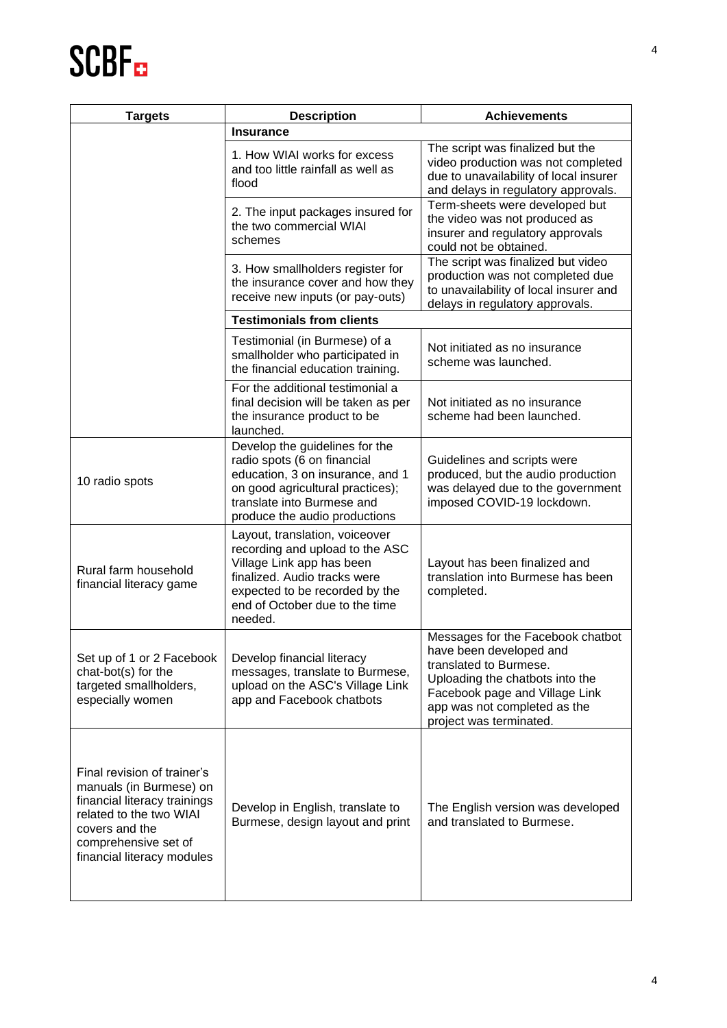# **SCBF**<sub>E</sub>

| <b>Targets</b>                                                                                                                                                                            | <b>Description</b>                                                                                                                                                                                            | <b>Achievements</b>                                                                                                                                                                                                    |
|-------------------------------------------------------------------------------------------------------------------------------------------------------------------------------------------|---------------------------------------------------------------------------------------------------------------------------------------------------------------------------------------------------------------|------------------------------------------------------------------------------------------------------------------------------------------------------------------------------------------------------------------------|
|                                                                                                                                                                                           | Insurance                                                                                                                                                                                                     |                                                                                                                                                                                                                        |
|                                                                                                                                                                                           | 1. How WIAI works for excess<br>and too little rainfall as well as<br>flood                                                                                                                                   | The script was finalized but the<br>video production was not completed<br>due to unavailability of local insurer<br>and delays in regulatory approvals.                                                                |
|                                                                                                                                                                                           | 2. The input packages insured for<br>the two commercial WIAI<br>schemes                                                                                                                                       | Term-sheets were developed but<br>the video was not produced as<br>insurer and regulatory approvals<br>could not be obtained.                                                                                          |
|                                                                                                                                                                                           | 3. How smallholders register for<br>the insurance cover and how they<br>receive new inputs (or pay-outs)                                                                                                      | The script was finalized but video<br>production was not completed due<br>to unavailability of local insurer and<br>delays in regulatory approvals.                                                                    |
|                                                                                                                                                                                           | <b>Testimonials from clients</b>                                                                                                                                                                              |                                                                                                                                                                                                                        |
|                                                                                                                                                                                           | Testimonial (in Burmese) of a<br>smallholder who participated in<br>the financial education training.                                                                                                         | Not initiated as no insurance<br>scheme was launched.                                                                                                                                                                  |
|                                                                                                                                                                                           | For the additional testimonial a<br>final decision will be taken as per<br>the insurance product to be<br>launched.                                                                                           | Not initiated as no insurance<br>scheme had been launched.                                                                                                                                                             |
| 10 radio spots                                                                                                                                                                            | Develop the guidelines for the<br>radio spots (6 on financial<br>education, 3 on insurance, and 1<br>on good agricultural practices);<br>translate into Burmese and<br>produce the audio productions          | Guidelines and scripts were<br>produced, but the audio production<br>was delayed due to the government<br>imposed COVID-19 lockdown.                                                                                   |
| Rural farm household<br>financial literacy game                                                                                                                                           | Layout, translation, voiceover<br>recording and upload to the ASC<br>Village Link app has been<br>finalized. Audio tracks were<br>expected to be recorded by the<br>end of October due to the time<br>needed. | Layout has been finalized and<br>translation into Burmese has been<br>completed.                                                                                                                                       |
| Set up of 1 or 2 Facebook<br>chat-bot(s) for the<br>targeted smallholders,<br>especially women                                                                                            | Develop financial literacy<br>messages, translate to Burmese,<br>upload on the ASC's Village Link<br>app and Facebook chatbots                                                                                | Messages for the Facebook chatbot<br>have been developed and<br>translated to Burmese.<br>Uploading the chatbots into the<br>Facebook page and Village Link<br>app was not completed as the<br>project was terminated. |
| Final revision of trainer's<br>manuals (in Burmese) on<br>financial literacy trainings<br>related to the two WIAI<br>covers and the<br>comprehensive set of<br>financial literacy modules | Develop in English, translate to<br>Burmese, design layout and print                                                                                                                                          | The English version was developed<br>and translated to Burmese.                                                                                                                                                        |